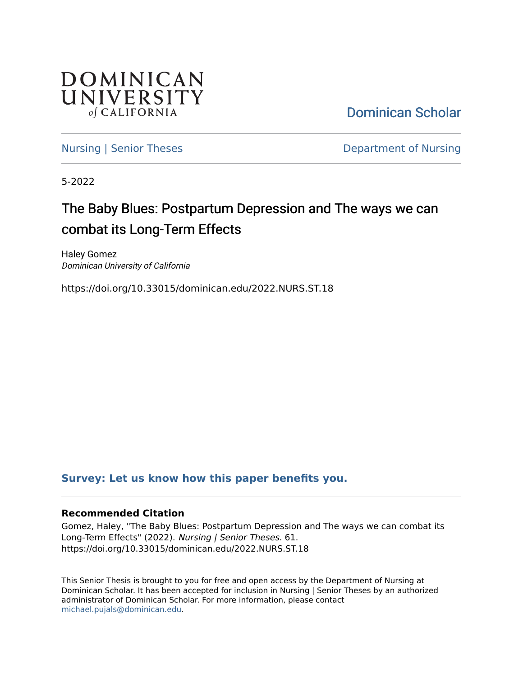

[Dominican Scholar](https://scholar.dominican.edu/) 

[Nursing | Senior Theses](https://scholar.dominican.edu/nursing-senior-theses) **Department of Nursing** 

5-2022

# The Baby Blues: Postpartum Depression and The ways we can combat its Long-Term Effects

Haley Gomez Dominican University of California

https://doi.org/10.33015/dominican.edu/2022.NURS.ST.18

# **[Survey: Let us know how this paper benefits you.](https://dominican.libwizard.com/dominican-scholar-feedback)**

# **Recommended Citation**

Gomez, Haley, "The Baby Blues: Postpartum Depression and The ways we can combat its Long-Term Effects" (2022). Nursing | Senior Theses. 61. https://doi.org/10.33015/dominican.edu/2022.NURS.ST.18

This Senior Thesis is brought to you for free and open access by the Department of Nursing at Dominican Scholar. It has been accepted for inclusion in Nursing | Senior Theses by an authorized administrator of Dominican Scholar. For more information, please contact [michael.pujals@dominican.edu.](mailto:michael.pujals@dominican.edu)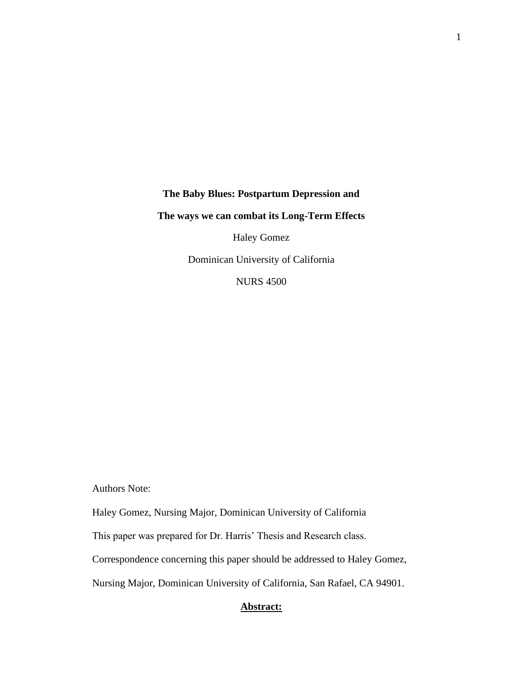**The Baby Blues: Postpartum Depression and The ways we can combat its Long-Term Effects** 

Haley Gomez

Dominican University of California

NURS 4500

Authors Note:

Haley Gomez, Nursing Major, Dominican University of California

This paper was prepared for Dr. Harris' Thesis and Research class.

Correspondence concerning this paper should be addressed to Haley Gomez,

Nursing Major, Dominican University of California, San Rafael, CA 94901.

# **Abstract:**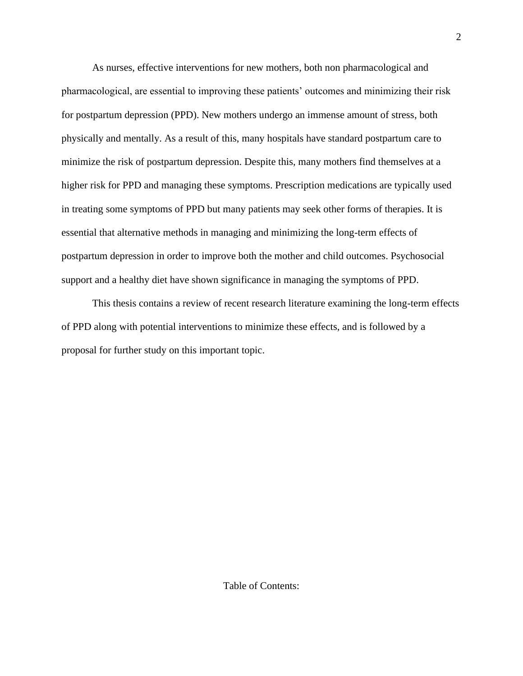As nurses, effective interventions for new mothers, both non pharmacological and pharmacological, are essential to improving these patients' outcomes and minimizing their risk for postpartum depression (PPD). New mothers undergo an immense amount of stress, both physically and mentally. As a result of this, many hospitals have standard postpartum care to minimize the risk of postpartum depression. Despite this, many mothers find themselves at a higher risk for PPD and managing these symptoms. Prescription medications are typically used in treating some symptoms of PPD but many patients may seek other forms of therapies. It is essential that alternative methods in managing and minimizing the long-term effects of postpartum depression in order to improve both the mother and child outcomes. Psychosocial support and a healthy diet have shown significance in managing the symptoms of PPD.

This thesis contains a review of recent research literature examining the long-term effects of PPD along with potential interventions to minimize these effects, and is followed by a proposal for further study on this important topic.

Table of Contents: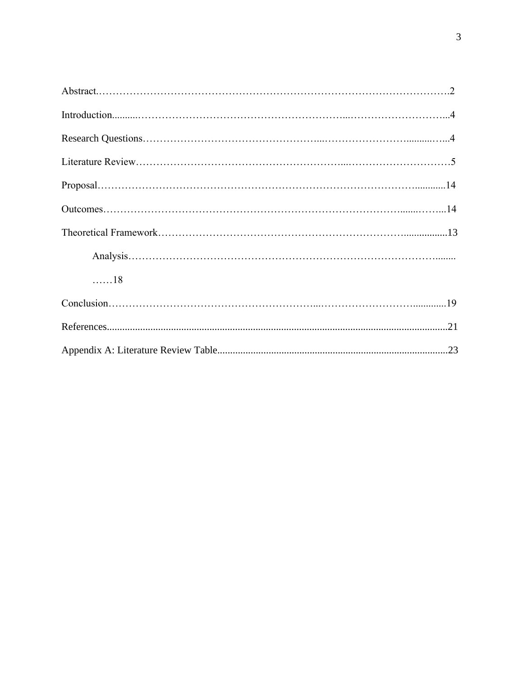| . 18 |  |
|------|--|
|      |  |
|      |  |
|      |  |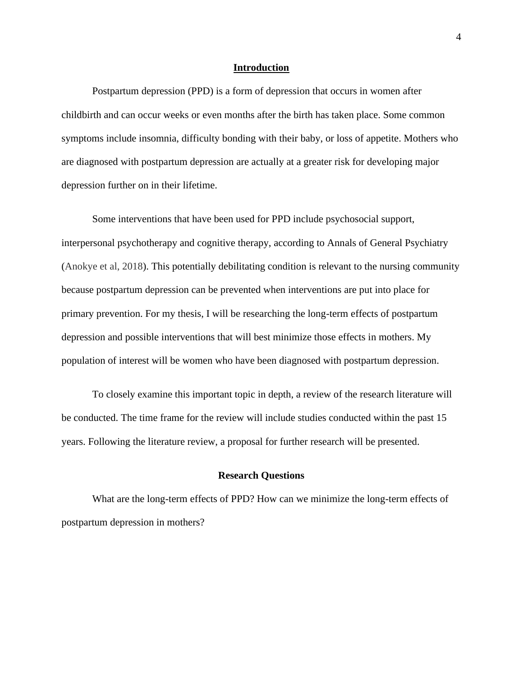#### **Introduction**

Postpartum depression (PPD) is a form of depression that occurs in women after childbirth and can occur weeks or even months after the birth has taken place. Some common symptoms include insomnia, difficulty bonding with their baby, or loss of appetite. Mothers who are diagnosed with postpartum depression are actually at a greater risk for developing major depression further on in their lifetime.

Some interventions that have been used for PPD include psychosocial support, interpersonal psychotherapy and cognitive therapy, according to Annals of General Psychiatry (Anokye et al, 2018). This potentially debilitating condition is relevant to the nursing community because postpartum depression can be prevented when interventions are put into place for primary prevention. For my thesis, I will be researching the long-term effects of postpartum depression and possible interventions that will best minimize those effects in mothers. My population of interest will be women who have been diagnosed with postpartum depression.

To closely examine this important topic in depth, a review of the research literature will be conducted. The time frame for the review will include studies conducted within the past 15 years. Following the literature review, a proposal for further research will be presented.

#### **Research Questions**

What are the long-term effects of PPD? How can we minimize the long-term effects of postpartum depression in mothers?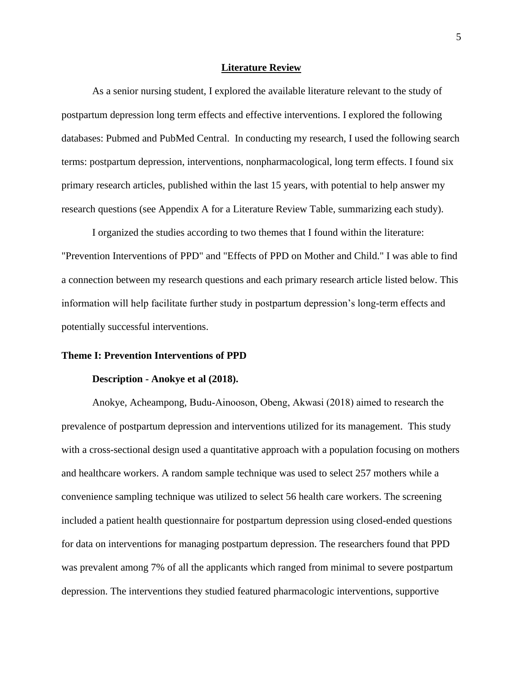#### **Literature Review**

As a senior nursing student, I explored the available literature relevant to the study of postpartum depression long term effects and effective interventions. I explored the following databases: Pubmed and PubMed Central. In conducting my research, I used the following search terms: postpartum depression, interventions, nonpharmacological, long term effects. I found six primary research articles, published within the last 15 years, with potential to help answer my research questions (see Appendix A for a Literature Review Table, summarizing each study).

I organized the studies according to two themes that I found within the literature: "Prevention Interventions of PPD" and "Effects of PPD on Mother and Child." I was able to find a connection between my research questions and each primary research article listed below. This information will help facilitate further study in postpartum depression's long-term effects and potentially successful interventions.

#### **Theme I: Prevention Interventions of PPD**

#### **Description - Anokye et al (2018).**

Anokye, Acheampong, Budu‐Ainooson, Obeng, Akwasi (2018) aimed to research the prevalence of postpartum depression and interventions utilized for its management. This study with a cross-sectional design used a quantitative approach with a population focusing on mothers and healthcare workers. A random sample technique was used to select 257 mothers while a convenience sampling technique was utilized to select 56 health care workers. The screening included a patient health questionnaire for postpartum depression using closed-ended questions for data on interventions for managing postpartum depression. The researchers found that PPD was prevalent among 7% of all the applicants which ranged from minimal to severe postpartum depression. The interventions they studied featured pharmacologic interventions, supportive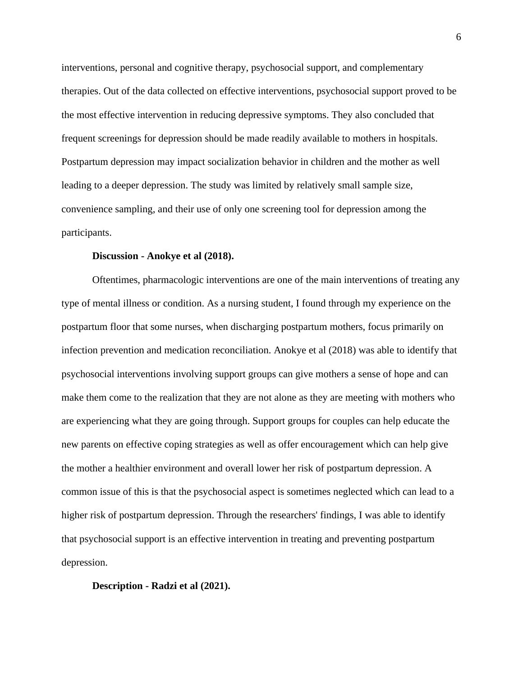interventions, personal and cognitive therapy, psychosocial support, and complementary therapies. Out of the data collected on effective interventions, psychosocial support proved to be the most effective intervention in reducing depressive symptoms. They also concluded that frequent screenings for depression should be made readily available to mothers in hospitals. Postpartum depression may impact socialization behavior in children and the mother as well leading to a deeper depression. The study was limited by relatively small sample size, convenience sampling, and their use of only one screening tool for depression among the participants.

#### **Discussion - Anokye et al (2018).**

Oftentimes, pharmacologic interventions are one of the main interventions of treating any type of mental illness or condition. As a nursing student, I found through my experience on the postpartum floor that some nurses, when discharging postpartum mothers, focus primarily on infection prevention and medication reconciliation. Anokye et al (2018) was able to identify that psychosocial interventions involving support groups can give mothers a sense of hope and can make them come to the realization that they are not alone as they are meeting with mothers who are experiencing what they are going through. Support groups for couples can help educate the new parents on effective coping strategies as well as offer encouragement which can help give the mother a healthier environment and overall lower her risk of postpartum depression. A common issue of this is that the psychosocial aspect is sometimes neglected which can lead to a higher risk of postpartum depression. Through the researchers' findings, I was able to identify that psychosocial support is an effective intervention in treating and preventing postpartum depression.

#### **Description - Radzi et al (2021).**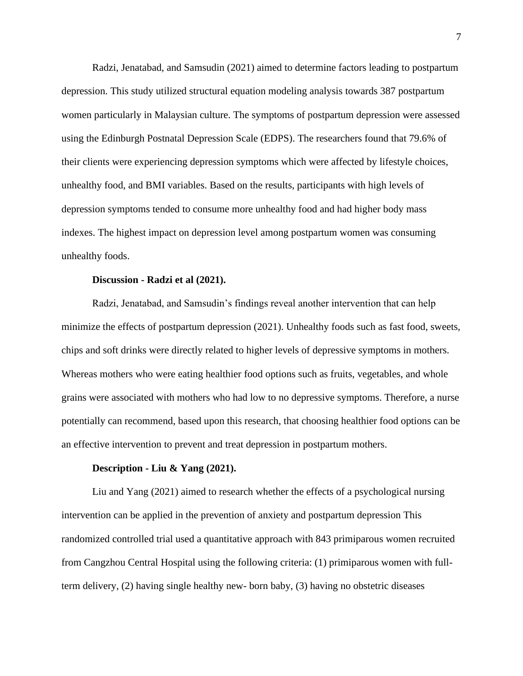Radzi, Jenatabad, and Samsudin (2021) aimed to determine factors leading to postpartum depression. This study utilized structural equation modeling analysis towards 387 postpartum women particularly in Malaysian culture. The symptoms of postpartum depression were assessed using the Edinburgh Postnatal Depression Scale (EDPS). The researchers found that 79.6% of their clients were experiencing depression symptoms which were affected by lifestyle choices, unhealthy food, and BMI variables. Based on the results, participants with high levels of depression symptoms tended to consume more unhealthy food and had higher body mass indexes. The highest impact on depression level among postpartum women was consuming unhealthy foods.

#### **Discussion - Radzi et al (2021).**

Radzi, Jenatabad, and Samsudin's findings reveal another intervention that can help minimize the effects of postpartum depression (2021). Unhealthy foods such as fast food, sweets, chips and soft drinks were directly related to higher levels of depressive symptoms in mothers. Whereas mothers who were eating healthier food options such as fruits, vegetables, and whole grains were associated with mothers who had low to no depressive symptoms. Therefore, a nurse potentially can recommend, based upon this research, that choosing healthier food options can be an effective intervention to prevent and treat depression in postpartum mothers.

#### **Description - Liu & Yang (2021).**

Liu and Yang (2021) aimed to research whether the effects of a psychological nursing intervention can be applied in the prevention of anxiety and postpartum depression This randomized controlled trial used a quantitative approach with 843 primiparous women recruited from Cangzhou Central Hospital using the following criteria: (1) primiparous women with fullterm delivery, (2) having single healthy new- born baby, (3) having no obstetric diseases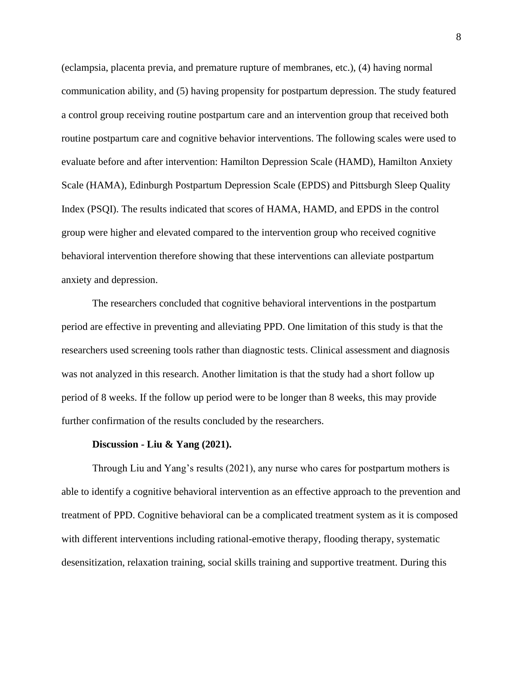(eclampsia, placenta previa, and premature rupture of membranes, etc.), (4) having normal communication ability, and (5) having propensity for postpartum depression. The study featured a control group receiving routine postpartum care and an intervention group that received both routine postpartum care and cognitive behavior interventions. The following scales were used to evaluate before and after intervention: Hamilton Depression Scale (HAMD), Hamilton Anxiety Scale (HAMA), Edinburgh Postpartum Depression Scale (EPDS) and Pittsburgh Sleep Quality Index (PSQI). The results indicated that scores of HAMA, HAMD, and EPDS in the control group were higher and elevated compared to the intervention group who received cognitive behavioral intervention therefore showing that these interventions can alleviate postpartum anxiety and depression.

The researchers concluded that cognitive behavioral interventions in the postpartum period are effective in preventing and alleviating PPD. One limitation of this study is that the researchers used screening tools rather than diagnostic tests. Clinical assessment and diagnosis was not analyzed in this research. Another limitation is that the study had a short follow up period of 8 weeks. If the follow up period were to be longer than 8 weeks, this may provide further confirmation of the results concluded by the researchers.

#### **Discussion - Liu & Yang (2021).**

Through Liu and Yang's results (2021), any nurse who cares for postpartum mothers is able to identify a cognitive behavioral intervention as an effective approach to the prevention and treatment of PPD. Cognitive behavioral can be a complicated treatment system as it is composed with different interventions including rational-emotive therapy, flooding therapy, systematic desensitization, relaxation training, social skills training and supportive treatment. During this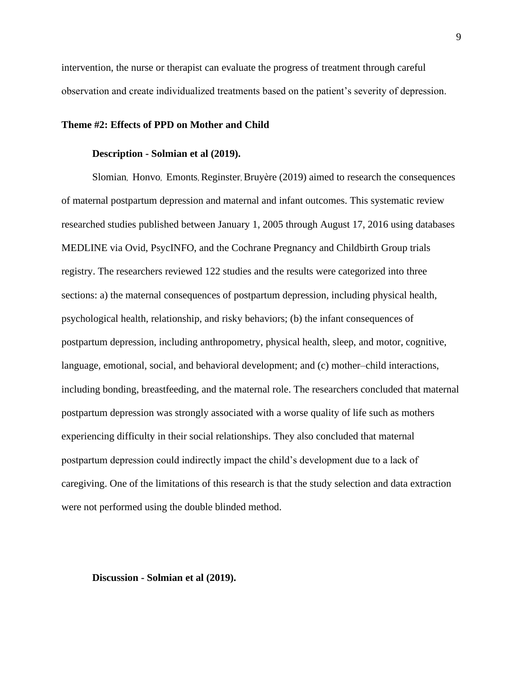intervention, the nurse or therapist can evaluate the progress of treatment through careful observation and create individualized treatments based on the patient's severity of depression.

#### **Theme #2: Effects of PPD on Mother and Child**

#### **Description - Solmian et al (2019).**

Slomian, Honvo, Emonts, Reginster, Bruyère (2019) aimed to research the consequences of maternal postpartum depression and maternal and infant outcomes. This systematic review researched studies published between January 1, 2005 through August 17, 2016 using databases MEDLINE via Ovid, PsycINFO, and the Cochrane Pregnancy and Childbirth Group trials registry. The researchers reviewed 122 studies and the results were categorized into three sections: a) the maternal consequences of postpartum depression, including physical health, psychological health, relationship, and risky behaviors; (b) the infant consequences of postpartum depression, including anthropometry, physical health, sleep, and motor, cognitive, language, emotional, social, and behavioral development; and (c) mother–child interactions, including bonding, breastfeeding, and the maternal role. The researchers concluded that maternal postpartum depression was strongly associated with a worse quality of life such as mothers experiencing difficulty in their social relationships. They also concluded that maternal postpartum depression could indirectly impact the child's development due to a lack of caregiving. One of the limitations of this research is that the study selection and data extraction were not performed using the double blinded method.

**Discussion - Solmian et al (2019).**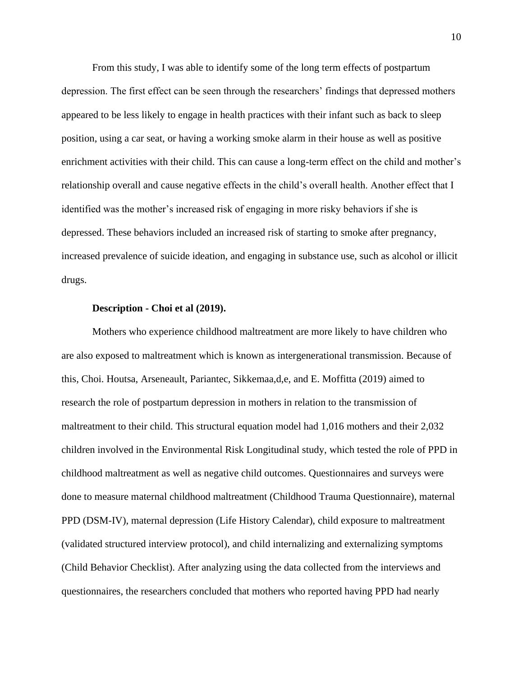From this study, I was able to identify some of the long term effects of postpartum depression. The first effect can be seen through the researchers' findings that depressed mothers appeared to be less likely to engage in health practices with their infant such as back to sleep position, using a car seat, or having a working smoke alarm in their house as well as positive enrichment activities with their child. This can cause a long-term effect on the child and mother's relationship overall and cause negative effects in the child's overall health. Another effect that I identified was the mother's increased risk of engaging in more risky behaviors if she is depressed. These behaviors included an increased risk of starting to smoke after pregnancy, increased prevalence of suicide ideation, and engaging in substance use, such as alcohol or illicit drugs.

#### **Description - Choi et al (2019).**

Mothers who experience childhood maltreatment are more likely to have children who are also exposed to maltreatment which is known as intergenerational transmission. Because of this, Choi. Houtsa, Arseneault, Pariantec, Sikkemaa,d,e, and E. Moffitta (2019) aimed to research the role of postpartum depression in mothers in relation to the transmission of maltreatment to their child. This structural equation model had 1,016 mothers and their 2,032 children involved in the Environmental Risk Longitudinal study, which tested the role of PPD in childhood maltreatment as well as negative child outcomes. Questionnaires and surveys were done to measure maternal childhood maltreatment (Childhood Trauma Questionnaire), maternal PPD (DSM-IV), maternal depression (Life History Calendar), child exposure to maltreatment (validated structured interview protocol), and child internalizing and externalizing symptoms (Child Behavior Checklist). After analyzing using the data collected from the interviews and questionnaires, the researchers concluded that mothers who reported having PPD had nearly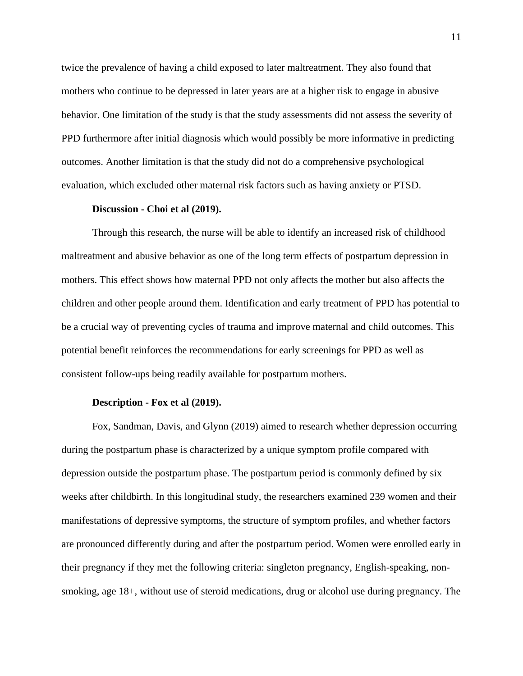twice the prevalence of having a child exposed to later maltreatment. They also found that mothers who continue to be depressed in later years are at a higher risk to engage in abusive behavior. One limitation of the study is that the study assessments did not assess the severity of PPD furthermore after initial diagnosis which would possibly be more informative in predicting outcomes. Another limitation is that the study did not do a comprehensive psychological evaluation, which excluded other maternal risk factors such as having anxiety or PTSD.

#### **Discussion - Choi et al (2019).**

Through this research, the nurse will be able to identify an increased risk of childhood maltreatment and abusive behavior as one of the long term effects of postpartum depression in mothers. This effect shows how maternal PPD not only affects the mother but also affects the children and other people around them. Identification and early treatment of PPD has potential to be a crucial way of preventing cycles of trauma and improve maternal and child outcomes. This potential benefit reinforces the recommendations for early screenings for PPD as well as consistent follow-ups being readily available for postpartum mothers.

#### **Description - Fox et al (2019).**

Fox, Sandman, Davis, and Glynn (2019) aimed to research whether depression occurring during the postpartum phase is characterized by a unique symptom profile compared with depression outside the postpartum phase. The postpartum period is commonly defined by six weeks after childbirth. In this longitudinal study, the researchers examined 239 women and their manifestations of depressive symptoms, the structure of symptom profiles, and whether factors are pronounced differently during and after the postpartum period. Women were enrolled early in their pregnancy if they met the following criteria: singleton pregnancy, English-speaking, nonsmoking, age 18+, without use of steroid medications, drug or alcohol use during pregnancy. The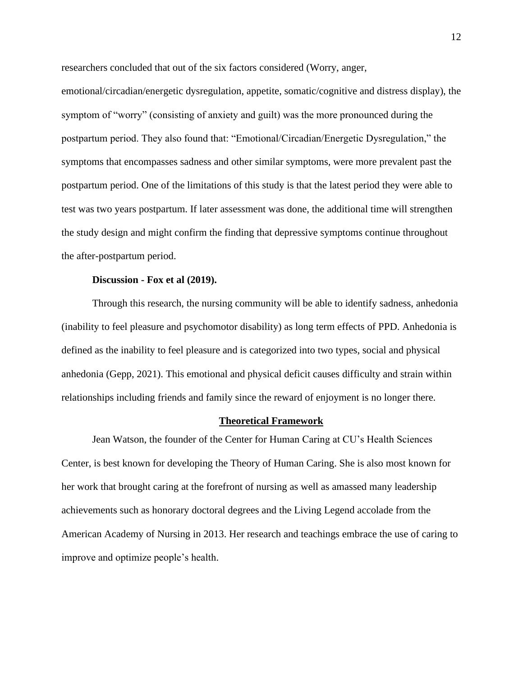researchers concluded that out of the six factors considered (Worry, anger,

emotional/circadian/energetic dysregulation, appetite, somatic/cognitive and distress display), the symptom of "worry" (consisting of anxiety and guilt) was the more pronounced during the postpartum period. They also found that: "Emotional/Circadian/Energetic Dysregulation," the symptoms that encompasses sadness and other similar symptoms, were more prevalent past the postpartum period. One of the limitations of this study is that the latest period they were able to test was two years postpartum. If later assessment was done, the additional time will strengthen the study design and might confirm the finding that depressive symptoms continue throughout the after-postpartum period.

#### **Discussion - Fox et al (2019).**

Through this research, the nursing community will be able to identify sadness, anhedonia (inability to feel pleasure and psychomotor disability) as long term effects of PPD. Anhedonia is defined as the inability to feel pleasure and is categorized into two types, social and physical anhedonia (Gepp, 2021). This emotional and physical deficit causes difficulty and strain within relationships including friends and family since the reward of enjoyment is no longer there.

#### **Theoretical Framework**

Jean Watson, the founder of the Center for Human Caring at CU's Health Sciences Center, is best known for developing the Theory of Human Caring. She is also most known for her work that brought caring at the forefront of nursing as well as amassed many leadership achievements such as honorary doctoral degrees and the Living Legend accolade from the American Academy of Nursing in 2013. Her research and teachings embrace the use of caring to improve and optimize people's health.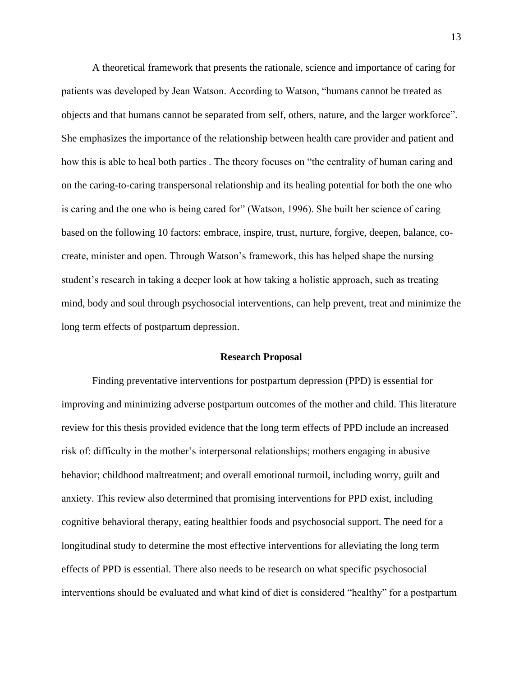A theoretical framework that presents the rationale, science and importance of caring for patients was developed by Jean Watson. According to Watson, "humans cannot be treated as objects and that humans cannot be separated from self, others, nature, and the larger workforce". She emphasizes the importance of the relationship between health care provider and patient and how this is able to heal both parties . The theory focuses on "the centrality of human caring and on the caring-to-caring transpersonal relationship and its healing potential for both the one who is caring and the one who is being cared for" (Watson, 1996). She built her science of caring based on the following 10 factors: embrace, inspire, trust, nurture, forgive, deepen, balance, cocreate, minister and open. Through Watson's framework, this has helped shape the nursing student's research in taking a deeper look at how taking a holistic approach, such as treating mind, body and soul through psychosocial interventions, can help prevent, treat and minimize the long term effects of postpartum depression.

#### **Research Proposal**

Finding preventative interventions for postpartum depression (PPD) is essential for improving and minimizing adverse postpartum outcomes of the mother and child. This literature review for this thesis provided evidence that the long term effects of PPD include an increased risk of: difficulty in the mother's interpersonal relationships; mothers engaging in abusive behavior; childhood maltreatment; and overall emotional turmoil, including worry, guilt and anxiety. This review also determined that promising interventions for PPD exist, including cognitive behavioral therapy, eating healthier foods and psychosocial support. The need for a longitudinal study to determine the most effective interventions for alleviating the long term effects of PPD is essential. There also needs to be research on what specific psychosocial interventions should be evaluated and what kind of diet is considered "healthy" for a postpartum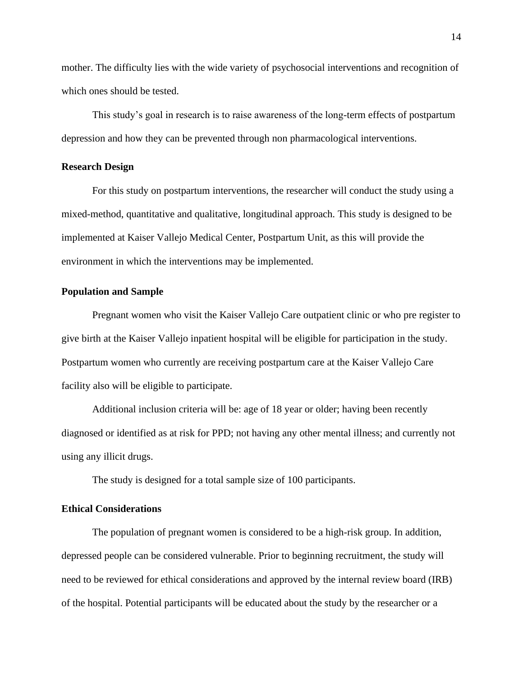mother. The difficulty lies with the wide variety of psychosocial interventions and recognition of which ones should be tested.

This study's goal in research is to raise awareness of the long-term effects of postpartum depression and how they can be prevented through non pharmacological interventions.

#### **Research Design**

For this study on postpartum interventions, the researcher will conduct the study using a mixed-method, quantitative and qualitative, longitudinal approach. This study is designed to be implemented at Kaiser Vallejo Medical Center, Postpartum Unit, as this will provide the environment in which the interventions may be implemented.

#### **Population and Sample**

Pregnant women who visit the Kaiser Vallejo Care outpatient clinic or who pre register to give birth at the Kaiser Vallejo inpatient hospital will be eligible for participation in the study. Postpartum women who currently are receiving postpartum care at the Kaiser Vallejo Care facility also will be eligible to participate.

Additional inclusion criteria will be: age of 18 year or older; having been recently diagnosed or identified as at risk for PPD; not having any other mental illness; and currently not using any illicit drugs.

The study is designed for a total sample size of 100 participants.

## **Ethical Considerations**

The population of pregnant women is considered to be a high-risk group. In addition, depressed people can be considered vulnerable. Prior to beginning recruitment, the study will need to be reviewed for ethical considerations and approved by the internal review board (IRB) of the hospital. Potential participants will be educated about the study by the researcher or a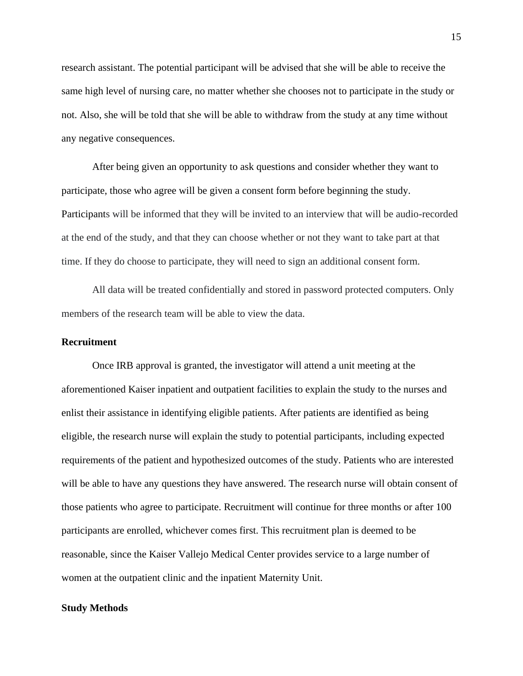research assistant. The potential participant will be advised that she will be able to receive the same high level of nursing care, no matter whether she chooses not to participate in the study or not. Also, she will be told that she will be able to withdraw from the study at any time without any negative consequences.

After being given an opportunity to ask questions and consider whether they want to participate, those who agree will be given a consent form before beginning the study. Participants will be informed that they will be invited to an interview that will be audio-recorded at the end of the study, and that they can choose whether or not they want to take part at that time. If they do choose to participate, they will need to sign an additional consent form.

All data will be treated confidentially and stored in password protected computers. Only members of the research team will be able to view the data.

#### **Recruitment**

Once IRB approval is granted, the investigator will attend a unit meeting at the aforementioned Kaiser inpatient and outpatient facilities to explain the study to the nurses and enlist their assistance in identifying eligible patients. After patients are identified as being eligible, the research nurse will explain the study to potential participants, including expected requirements of the patient and hypothesized outcomes of the study. Patients who are interested will be able to have any questions they have answered. The research nurse will obtain consent of those patients who agree to participate. Recruitment will continue for three months or after 100 participants are enrolled, whichever comes first. This recruitment plan is deemed to be reasonable, since the Kaiser Vallejo Medical Center provides service to a large number of women at the outpatient clinic and the inpatient Maternity Unit.

#### **Study Methods**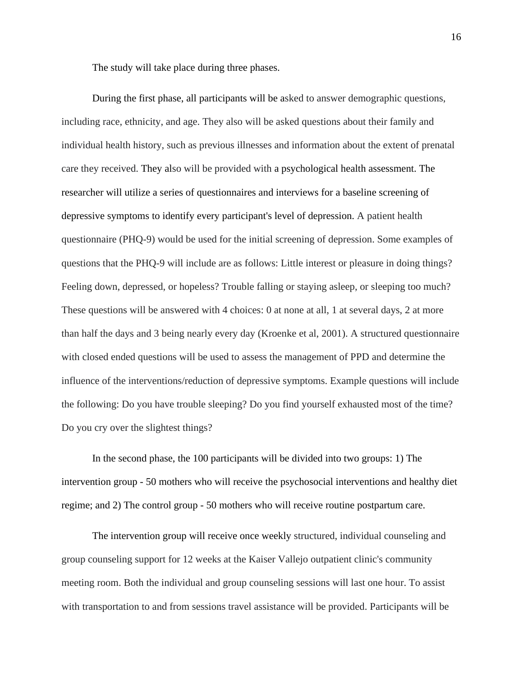The study will take place during three phases.

During the first phase, all participants will be asked to answer demographic questions, including race, ethnicity, and age. They also will be asked questions about their family and individual health history, such as previous illnesses and information about the extent of prenatal care they received. They also will be provided with a psychological health assessment. The researcher will utilize a series of questionnaires and interviews for a baseline screening of depressive symptoms to identify every participant's level of depression. A patient health questionnaire (PHQ-9) would be used for the initial screening of depression. Some examples of questions that the PHQ-9 will include are as follows: Little interest or pleasure in doing things? Feeling down, depressed, or hopeless? Trouble falling or staying asleep, or sleeping too much? These questions will be answered with 4 choices: 0 at none at all, 1 at several days, 2 at more than half the days and 3 being nearly every day (Kroenke et al, 2001). A structured questionnaire with closed ended questions will be used to assess the management of PPD and determine the influence of the interventions/reduction of depressive symptoms. Example questions will include the following: Do you have trouble sleeping? Do you find yourself exhausted most of the time? Do you cry over the slightest things?

In the second phase, the 100 participants will be divided into two groups: 1) The intervention group - 50 mothers who will receive the psychosocial interventions and healthy diet regime; and 2) The control group - 50 mothers who will receive routine postpartum care.

The intervention group will receive once weekly structured, individual counseling and group counseling support for 12 weeks at the Kaiser Vallejo outpatient clinic's community meeting room. Both the individual and group counseling sessions will last one hour. To assist with transportation to and from sessions travel assistance will be provided. Participants will be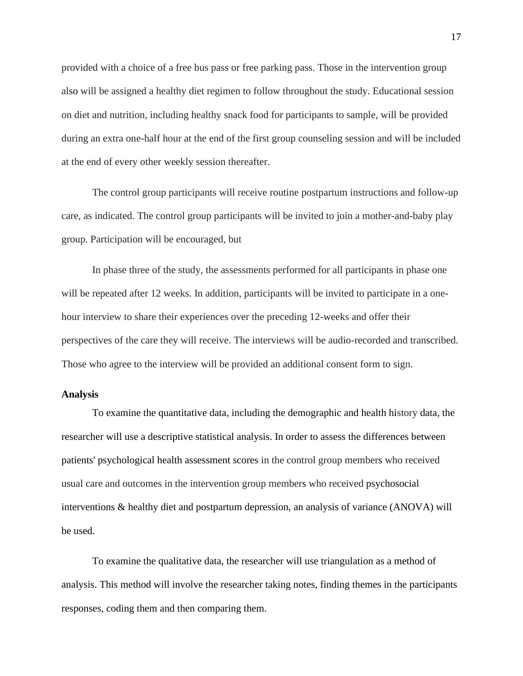provided with a choice of a free bus pass or free parking pass. Those in the intervention group also will be assigned a healthy diet regimen to follow throughout the study. Educational session on diet and nutrition, including healthy snack food for participants to sample, will be provided during an extra one-half hour at the end of the first group counseling session and will be included at the end of every other weekly session thereafter.

The control group participants will receive routine postpartum instructions and follow-up care, as indicated. The control group participants will be invited to join a mother-and-baby play group. Participation will be encouraged, but

In phase three of the study, the assessments performed for all participants in phase one will be repeated after 12 weeks. In addition, participants will be invited to participate in a onehour interview to share their experiences over the preceding 12-weeks and offer their perspectives of the care they will receive. The interviews will be audio-recorded and transcribed. Those who agree to the interview will be provided an additional consent form to sign.

#### **Analysis**

To examine the quantitative data, including the demographic and health history data, the researcher will use a descriptive statistical analysis. In order to assess the differences between patients' psychological health assessment scores in the control group members who received usual care and outcomes in the intervention group members who received psychosocial interventions & healthy diet and postpartum depression, an analysis of variance (ANOVA) will be used.

To examine the qualitative data, the researcher will use triangulation as a method of analysis. This method will involve the researcher taking notes, finding themes in the participants responses, coding them and then comparing them.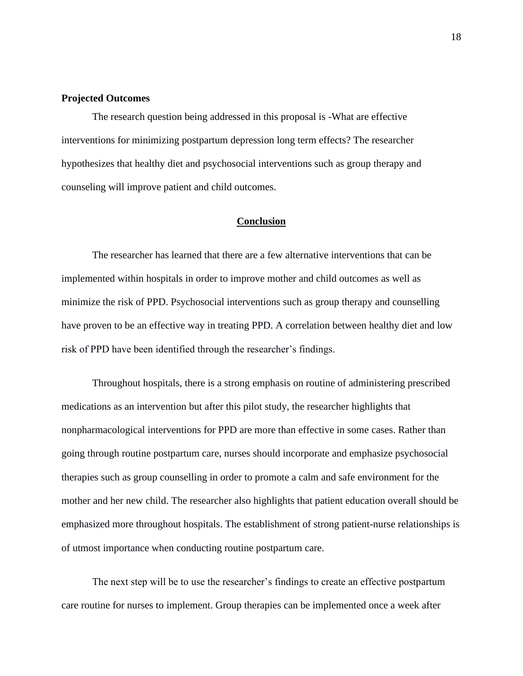# **Projected Outcomes**

The research question being addressed in this proposal is -What are effective interventions for minimizing postpartum depression long term effects? The researcher hypothesizes that healthy diet and psychosocial interventions such as group therapy and counseling will improve patient and child outcomes.

#### **Conclusion**

The researcher has learned that there are a few alternative interventions that can be implemented within hospitals in order to improve mother and child outcomes as well as minimize the risk of PPD. Psychosocial interventions such as group therapy and counselling have proven to be an effective way in treating PPD. A correlation between healthy diet and low risk of PPD have been identified through the researcher's findings.

Throughout hospitals, there is a strong emphasis on routine of administering prescribed medications as an intervention but after this pilot study, the researcher highlights that nonpharmacological interventions for PPD are more than effective in some cases. Rather than going through routine postpartum care, nurses should incorporate and emphasize psychosocial therapies such as group counselling in order to promote a calm and safe environment for the mother and her new child. The researcher also highlights that patient education overall should be emphasized more throughout hospitals. The establishment of strong patient-nurse relationships is of utmost importance when conducting routine postpartum care.

The next step will be to use the researcher's findings to create an effective postpartum care routine for nurses to implement. Group therapies can be implemented once a week after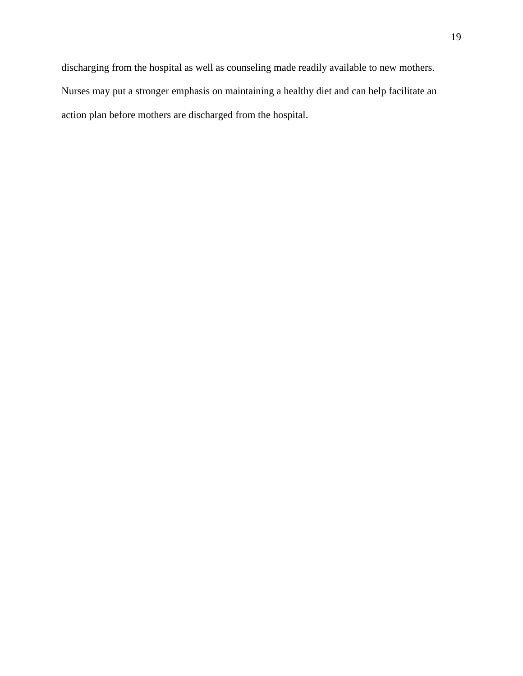discharging from the hospital as well as counseling made readily available to new mothers. Nurses may put a stronger emphasis on maintaining a healthy diet and can help facilitate an action plan before mothers are discharged from the hospital.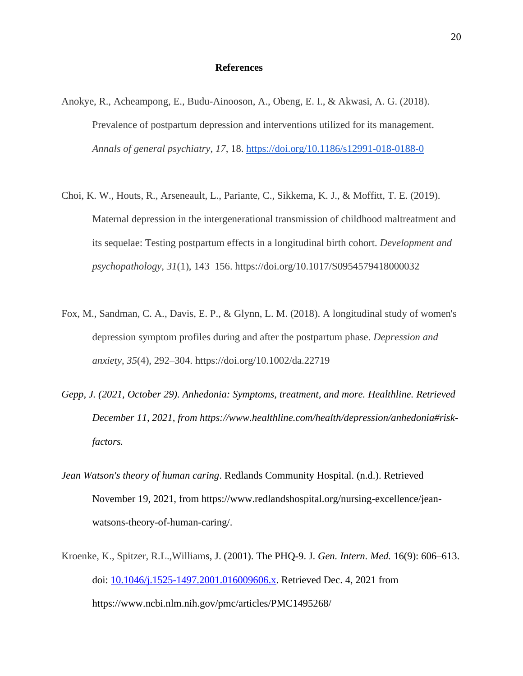#### **References**

- Anokye, R., Acheampong, E., Budu-Ainooson, A., Obeng, E. I., & Akwasi, A. G. (2018). Prevalence of postpartum depression and interventions utilized for its management. *Annals of general psychiatry*, *17*, 18.<https://doi.org/10.1186/s12991-018-0188-0>
- Choi, K. W., Houts, R., Arseneault, L., Pariante, C., Sikkema, K. J., & Moffitt, T. E. (2019). Maternal depression in the intergenerational transmission of childhood maltreatment and its sequelae: Testing postpartum effects in a longitudinal birth cohort. *Development and psychopathology*, *31*(1), 143–156. https://doi.org/10.1017/S0954579418000032
- Fox, M., Sandman, C. A., Davis, E. P., & Glynn, L. M. (2018). A longitudinal study of women's depression symptom profiles during and after the postpartum phase. *Depression and anxiety*, *35*(4), 292–304. https://doi.org/10.1002/da.22719
- *Gepp, J. (2021, October 29). Anhedonia: Symptoms, treatment, and more. Healthline. Retrieved December 11, 2021, from https://www.healthline.com/health/depression/anhedonia#riskfactors.*
- *Jean Watson's theory of human caring*. Redlands Community Hospital. (n.d.). Retrieved November 19, 2021, from https://www.redlandshospital.org/nursing-excellence/jeanwatsons-theory-of-human-caring/.
- Kroenke, K., Spitzer, R.L.,Williams, J. (2001). The PHQ-9. J. *Gen. Intern. Med.* 16(9): 606–613. doi: [10.1046/j.1525-1497.2001.016009606.x.](https://dx.doi.org/10.1046%2Fj.1525-1497.2001.016009606.x) Retrieved Dec. 4, 2021 from https://www.ncbi.nlm.nih.gov/pmc/articles/PMC1495268/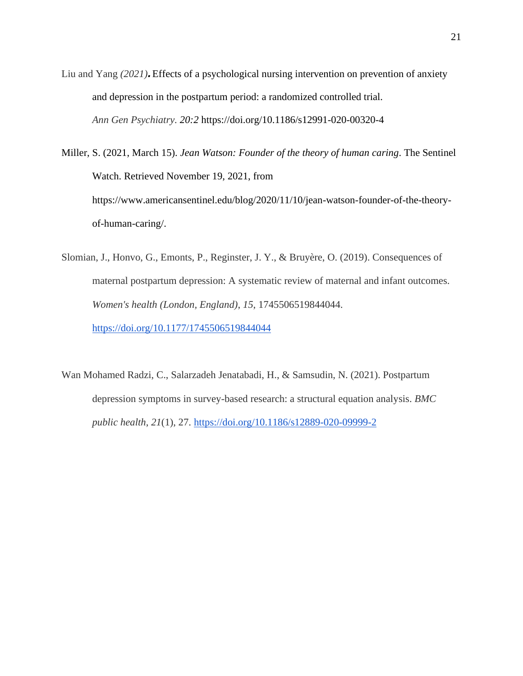Liu and Yang *(2021).*Effects of a psychological nursing intervention on prevention of anxiety and depression in the postpartum period: a randomized controlled trial. *Ann Gen Psychiatry. 20:2* https://doi.org/10.1186/s12991-020-00320-4

Miller, S. (2021, March 15). *Jean Watson: Founder of the theory of human caring*. The Sentinel Watch. Retrieved November 19, 2021, from https://www.americansentinel.edu/blog/2020/11/10/jean-watson-founder-of-the-theoryof-human-caring/.

Slomian, J., Honvo, G., Emonts, P., Reginster, J. Y., & Bruyère, O. (2019). Consequences of maternal postpartum depression: A systematic review of maternal and infant outcomes. *Women's health (London, England)*, *15*, 1745506519844044. <https://doi.org/10.1177/1745506519844044>

Wan Mohamed Radzi, C., Salarzadeh Jenatabadi, H., & Samsudin, N. (2021). Postpartum depression symptoms in survey-based research: a structural equation analysis. *BMC public health*, *21*(1), 27.<https://doi.org/10.1186/s12889-020-09999-2>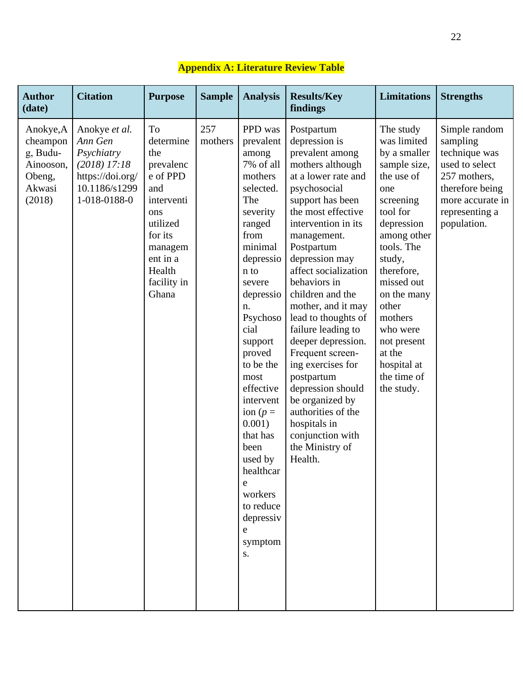| <b>Author</b><br>(date)                                                      | <b>Citation</b>                                                                                               | <b>Purpose</b>                                                                                                                                              | <b>Sample</b>  | <b>Analysis</b>                                                                                                                                                                                                                                                                                                                                                                                   | <b>Results/Key</b><br>findings                                                                                                                                                                                                                                                                                                                                                                                                                                                                                                                                        | <b>Limitations</b>                                                                                                                                                                                                                                                                                          | <b>Strengths</b>                                                                                                                                     |
|------------------------------------------------------------------------------|---------------------------------------------------------------------------------------------------------------|-------------------------------------------------------------------------------------------------------------------------------------------------------------|----------------|---------------------------------------------------------------------------------------------------------------------------------------------------------------------------------------------------------------------------------------------------------------------------------------------------------------------------------------------------------------------------------------------------|-----------------------------------------------------------------------------------------------------------------------------------------------------------------------------------------------------------------------------------------------------------------------------------------------------------------------------------------------------------------------------------------------------------------------------------------------------------------------------------------------------------------------------------------------------------------------|-------------------------------------------------------------------------------------------------------------------------------------------------------------------------------------------------------------------------------------------------------------------------------------------------------------|------------------------------------------------------------------------------------------------------------------------------------------------------|
| Anokye, A<br>cheampon<br>g, Budu-<br>Ainooson,<br>Obeng,<br>Akwasi<br>(2018) | Anokye et al.<br>Ann Gen<br>Psychiatry<br>$(2018)$ 17:18<br>https://doi.org/<br>10.1186/s1299<br>1-018-0188-0 | To<br>determine<br>the<br>prevalenc<br>e of PPD<br>and<br>interventi<br>ons<br>utilized<br>for its<br>managem<br>ent in a<br>Health<br>facility in<br>Ghana | 257<br>mothers | PPD was<br>prevalent<br>among<br>7% of all<br>mothers<br>selected.<br>The<br>severity<br>ranged<br>from<br>minimal<br>depressio<br>n to<br>severe<br>depressio<br>n.<br>Psychoso<br>cial<br>support<br>proved<br>to be the<br>most<br>effective<br>intervent<br>ion ( $p =$<br>0.001)<br>that has<br>been<br>used by<br>healthcar<br>e<br>workers<br>to reduce<br>depressiv<br>e<br>symptom<br>S. | Postpartum<br>depression is<br>prevalent among<br>mothers although<br>at a lower rate and<br>psychosocial<br>support has been<br>the most effective<br>intervention in its<br>management.<br>Postpartum<br>depression may<br>affect socialization<br>behaviors in<br>children and the<br>mother, and it may<br>lead to thoughts of<br>failure leading to<br>deeper depression.<br>Frequent screen-<br>ing exercises for<br>postpartum<br>depression should<br>be organized by<br>authorities of the<br>hospitals in<br>conjunction with<br>the Ministry of<br>Health. | The study<br>was limited<br>by a smaller<br>sample size,<br>the use of<br>one<br>screening<br>tool for<br>depression<br>among other<br>tools. The<br>study,<br>therefore,<br>missed out<br>on the many<br>other<br>mothers<br>who were<br>not present<br>at the<br>hospital at<br>the time of<br>the study. | Simple random<br>sampling<br>technique was<br>used to select<br>257 mothers,<br>therefore being<br>more accurate in<br>representing a<br>population. |

# **Appendix A: Literature Review Table**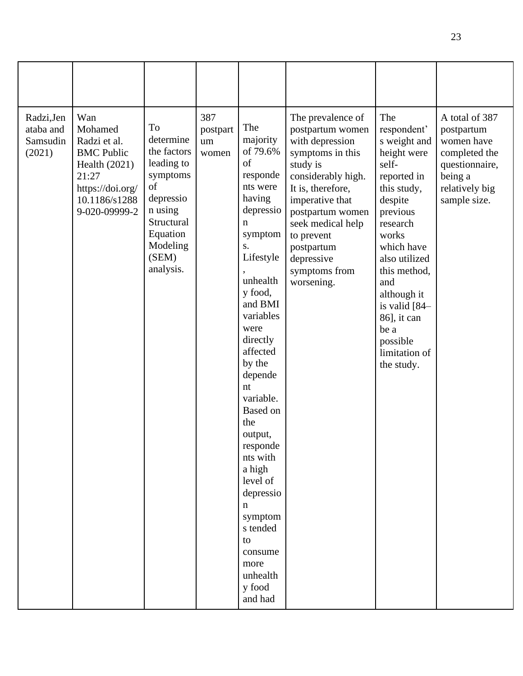| Radzi, Jen<br>ataba and<br>Samsudin<br>(2021) | Wan<br>Mohamed<br>Radzi et al.<br><b>BMC Public</b><br>Health $(2021)$<br>21:27<br>https://doi.org/<br>10.1186/s1288<br>9-020-09999-2 | To<br>determine<br>the factors<br>leading to<br>symptoms<br>of<br>depressio<br>n using<br>Structural<br>Equation<br>Modeling<br>(SEM)<br>analysis. | 387<br>postpart<br>um<br>women | The<br>majority<br>of 79.6%<br>of<br>responde<br>nts were<br>having<br>depressio<br>$\mathbf n$<br>symptom<br>S.<br>Lifestyle<br>unhealth<br>y food,<br>and BMI<br>variables<br>were<br>directly<br>affected<br>by the<br>depende<br>nt<br>variable.<br><b>Based</b> on<br>the<br>output,<br>responde<br>nts with<br>a high<br>level of<br>depressio<br>$\mathbf n$<br>symptom<br>s tended<br>to<br>consume<br>more<br>unhealth<br>y food<br>and had | The prevalence of<br>postpartum women<br>with depression<br>symptoms in this<br>study is<br>considerably high.<br>It is, therefore,<br>imperative that<br>postpartum women<br>seek medical help<br>to prevent<br>postpartum<br>depressive<br>symptoms from<br>worsening. | The<br>respondent'<br>s weight and<br>height were<br>self-<br>reported in<br>this study,<br>despite<br>previous<br>research<br>works<br>which have<br>also utilized<br>this method,<br>and<br>although it<br>is valid [84-<br>86], it can<br>be a<br>possible<br>limitation of<br>the study. | A total of 387<br>postpartum<br>women have<br>completed the<br>questionnaire,<br>being a<br>relatively big<br>sample size. |
|-----------------------------------------------|---------------------------------------------------------------------------------------------------------------------------------------|----------------------------------------------------------------------------------------------------------------------------------------------------|--------------------------------|------------------------------------------------------------------------------------------------------------------------------------------------------------------------------------------------------------------------------------------------------------------------------------------------------------------------------------------------------------------------------------------------------------------------------------------------------|--------------------------------------------------------------------------------------------------------------------------------------------------------------------------------------------------------------------------------------------------------------------------|----------------------------------------------------------------------------------------------------------------------------------------------------------------------------------------------------------------------------------------------------------------------------------------------|----------------------------------------------------------------------------------------------------------------------------|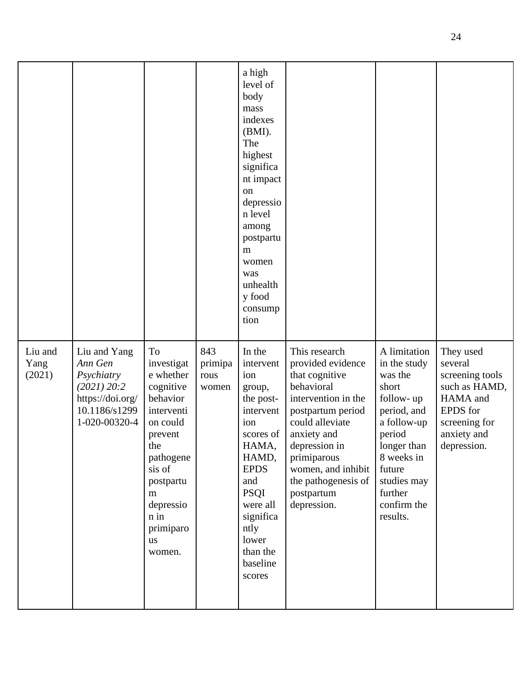|                           |                                                                                                            |                                                                                                                                                                                                      |                                 | a high<br>level of<br>body<br>mass<br>indexes<br>(BMI).<br>The<br>highest<br>significa<br>nt impact<br>on<br>depressio<br>n level<br>among<br>postpartu<br>m<br>women<br>was<br>unhealth<br>y food<br>consump<br>tion |                                                                                                                                                                                                                                                            |                                                                                                                                                                                                   |                                                                                                                                        |
|---------------------------|------------------------------------------------------------------------------------------------------------|------------------------------------------------------------------------------------------------------------------------------------------------------------------------------------------------------|---------------------------------|-----------------------------------------------------------------------------------------------------------------------------------------------------------------------------------------------------------------------|------------------------------------------------------------------------------------------------------------------------------------------------------------------------------------------------------------------------------------------------------------|---------------------------------------------------------------------------------------------------------------------------------------------------------------------------------------------------|----------------------------------------------------------------------------------------------------------------------------------------|
| Liu and<br>Yang<br>(2021) | Liu and Yang<br>Ann Gen<br>Psychiatry<br>(2021) 20:2<br>https://doi.org/<br>10.1186/s1299<br>1-020-00320-4 | To<br>investigat<br>e whether<br>cognitive<br>behavior<br>interventi<br>on could<br>prevent<br>the<br>pathogene<br>sis of<br>postpartu<br>m<br>depressio<br>n in<br>primiparo<br><b>us</b><br>women. | 843<br>primipa<br>rous<br>women | In the<br>intervent<br>ion<br>group,<br>the post-<br>intervent<br>ion<br>scores of<br>HAMA,<br>HAMD,<br><b>EPDS</b><br>and<br><b>PSQI</b><br>were all<br>significa<br>ntly<br>lower<br>than the<br>baseline<br>scores | This research<br>provided evidence<br>that cognitive<br>behavioral<br>intervention in the<br>postpartum period<br>could alleviate<br>anxiety and<br>depression in<br>primiparous<br>women, and inhibit<br>the pathogenesis of<br>postpartum<br>depression. | A limitation<br>in the study<br>was the<br>short<br>follow-up<br>period, and<br>a follow-up<br>period<br>longer than<br>8 weeks in<br>future<br>studies may<br>further<br>confirm the<br>results. | They used<br>several<br>screening tools<br>such as HAMD,<br>HAMA and<br><b>EPDS</b> for<br>screening for<br>anxiety and<br>depression. |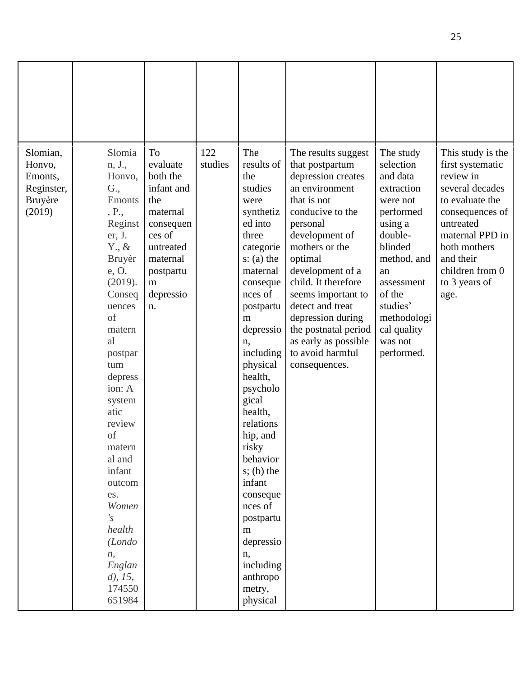| Slomian,<br>Honvo,<br>Emonts,<br>Reginster,<br>Bruyère<br>(2019) | Slomia<br>n, J.,<br>Honvo,<br>G.,<br>Emonts<br>, P.,<br>Reginst<br>er, J.<br>$Y_{\cdot}, \&$<br>Bruyèr<br>e, O.<br>(2019).<br>Conseq<br>uences<br>of<br>matern<br>al<br>postpar<br>tum<br>depress<br>ion: A<br>system<br>atic<br>review<br>of<br>matern<br>al and<br>infant<br>outcom<br>es.<br>Women<br>$\mathcal{S}'$<br>health<br>(Londo<br>n,<br>Englan<br>$d$ , 15,<br>174550<br>651984 | To<br>evaluate<br>both the<br>infant and<br>the<br>maternal<br>consequen<br>ces of<br>untreated<br>maternal<br>postpartu<br>m<br>depressio<br>n. | 122<br>studies | The<br>results of<br>the<br>studies<br>were<br>synthetiz<br>ed into<br>three<br>categorie<br>$s: (a)$ the<br>maternal<br>conseque<br>nces of<br>postpartu<br>m<br>depressio<br>n,<br>including<br>physical<br>health,<br>psycholo<br>gical<br>health,<br>relations<br>hip, and<br>risky<br>behavior<br>$s$ ; (b) the<br>infant<br>conseque<br>nces of<br>postpartu<br>m<br>depressio<br>n,<br>including<br>anthropo<br>metry,<br>physical | The results suggest<br>that postpartum<br>depression creates<br>an environment<br>that is not<br>conducive to the<br>personal<br>development of<br>mothers or the<br>optimal<br>development of a<br>child. It therefore<br>seems important to<br>detect and treat<br>depression during<br>the postnatal period<br>as early as possible<br>to avoid harmful<br>consequences. | The study<br>selection<br>and data<br>extraction<br>were not<br>performed<br>using a<br>double-<br>blinded<br>method, and<br>an<br>assessment<br>of the<br>studies'<br>methodologi<br>cal quality<br>was not<br>performed. | This study is the<br>first systematic<br>review in<br>several decades<br>to evaluate the<br>consequences of<br>untreated<br>maternal PPD in<br>both mothers<br>and their<br>children from 0<br>to 3 years of<br>age. |
|------------------------------------------------------------------|----------------------------------------------------------------------------------------------------------------------------------------------------------------------------------------------------------------------------------------------------------------------------------------------------------------------------------------------------------------------------------------------|--------------------------------------------------------------------------------------------------------------------------------------------------|----------------|-------------------------------------------------------------------------------------------------------------------------------------------------------------------------------------------------------------------------------------------------------------------------------------------------------------------------------------------------------------------------------------------------------------------------------------------|-----------------------------------------------------------------------------------------------------------------------------------------------------------------------------------------------------------------------------------------------------------------------------------------------------------------------------------------------------------------------------|----------------------------------------------------------------------------------------------------------------------------------------------------------------------------------------------------------------------------|----------------------------------------------------------------------------------------------------------------------------------------------------------------------------------------------------------------------|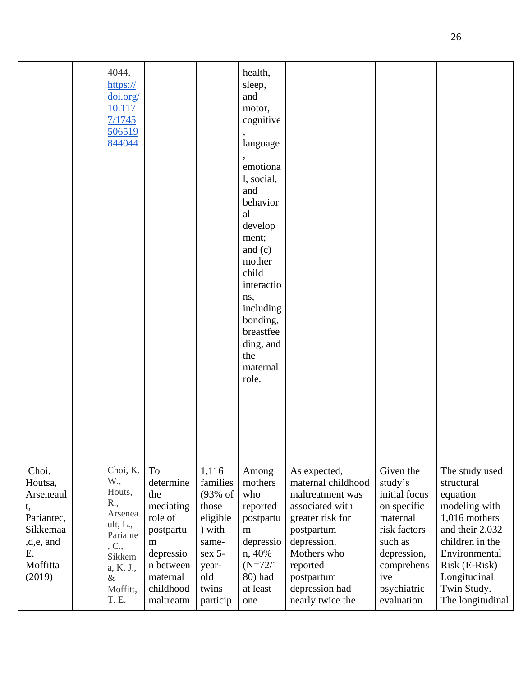|                                                                                                               | 4044.<br>$\frac{https://}{$<br>doi.org/<br>10.117<br>7/1745<br>506519<br>844044                                                  |                                                                                                                                  |                                                                                                                         | health,<br>sleep,<br>and<br>motor,<br>cognitive<br>language<br>emotiona<br>l, social,<br>and<br>behavior<br>al<br>develop<br>ment;<br>and $(c)$<br>mother-<br>child<br>interactio<br>ns,<br>including<br>bonding,<br>breastfee<br>ding, and<br>the<br>maternal<br>role. |                                                                                                                                                                                                           |                                                                                                                                                              |                                                                                                                                                                                                       |
|---------------------------------------------------------------------------------------------------------------|----------------------------------------------------------------------------------------------------------------------------------|----------------------------------------------------------------------------------------------------------------------------------|-------------------------------------------------------------------------------------------------------------------------|-------------------------------------------------------------------------------------------------------------------------------------------------------------------------------------------------------------------------------------------------------------------------|-----------------------------------------------------------------------------------------------------------------------------------------------------------------------------------------------------------|--------------------------------------------------------------------------------------------------------------------------------------------------------------|-------------------------------------------------------------------------------------------------------------------------------------------------------------------------------------------------------|
| Choi.<br>Houtsa,<br>Arseneaul<br>t,<br>Pariantec,<br><b>Sikkemaa</b><br>,d,e, and<br>Ε.<br>Moffitta<br>(2019) | Choi, K.<br>W.,<br>Houts,<br>R.,<br>Arsenea<br>ult, L.,<br>Pariante<br>, C.,<br>Sikkem<br>a, K. J.,<br>$\&$<br>Moffitt,<br>T. E. | To<br>determine<br>the<br>mediating<br>role of<br>postpartu<br>m<br>depressio<br>n between<br>maternal<br>childhood<br>maltreatm | 1,116<br>families<br>$(93%$ of<br>those<br>eligible<br>) with<br>same-<br>$sex$ 5-<br>year-<br>old<br>twins<br>particip | Among<br>mothers<br>who<br>reported<br>postpartu<br>m<br>depressio<br>n, 40%<br>$(N=72/1)$<br>80) had<br>at least<br>one                                                                                                                                                | As expected,<br>maternal childhood<br>maltreatment was<br>associated with<br>greater risk for<br>postpartum<br>depression.<br>Mothers who<br>reported<br>postpartum<br>depression had<br>nearly twice the | Given the<br>study's<br>initial focus<br>on specific<br>maternal<br>risk factors<br>such as<br>depression,<br>comprehens<br>ive<br>psychiatric<br>evaluation | The study used<br>structural<br>equation<br>modeling with<br>1,016 mothers<br>and their 2,032<br>children in the<br>Environmental<br>Risk (E-Risk)<br>Longitudinal<br>Twin Study.<br>The longitudinal |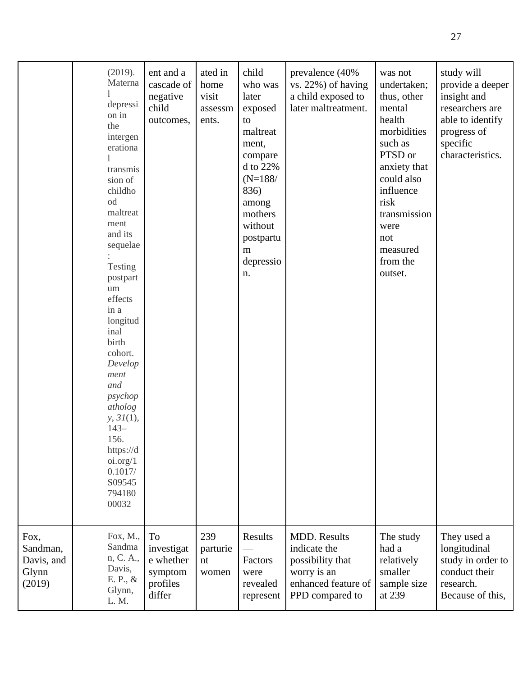|                                                   | (2019).<br>Materna<br>depressi<br>on in<br>the<br>intergen<br>erationa<br>transmis<br>sion of<br>childho<br>od<br>maltreat<br>ment<br>and its<br>sequelae<br>Testing<br>postpart<br>um<br>effects<br>in a<br>longitud<br>inal<br>birth<br>cohort.<br>Develop<br>ment<br>and<br>psychop<br>atholog<br>y, 31(1),<br>$143-$<br>156.<br>https://d<br>oi.org/1<br>0.1017/<br>S09545<br>794180<br>00032 | ent and a<br>cascade of<br>negative<br>child<br>outcomes,             | ated in<br>home<br>visit<br>assessm<br>ents. | child<br>who was<br>later<br>exposed<br>to<br>maltreat<br>ment,<br>compare<br>d to 22%<br>$(N=188/$<br>836)<br>among<br>mothers<br>without<br>postpartu<br>m<br>depressio<br>n. | prevalence (40%<br>vs. 22%) of having<br>a child exposed to<br>later maltreatment.                               | was not<br>undertaken;<br>thus, other<br>mental<br>health<br>morbidities<br>such as<br>PTSD or<br>anxiety that<br>could also<br>influence<br>risk<br>transmission<br>were<br>not<br>measured<br>from the<br>outset. | study will<br>provide a deeper<br>insight and<br>researchers are<br>able to identify<br>progress of<br>specific<br>characteristics. |
|---------------------------------------------------|---------------------------------------------------------------------------------------------------------------------------------------------------------------------------------------------------------------------------------------------------------------------------------------------------------------------------------------------------------------------------------------------------|-----------------------------------------------------------------------|----------------------------------------------|---------------------------------------------------------------------------------------------------------------------------------------------------------------------------------|------------------------------------------------------------------------------------------------------------------|---------------------------------------------------------------------------------------------------------------------------------------------------------------------------------------------------------------------|-------------------------------------------------------------------------------------------------------------------------------------|
| Fox,<br>Sandman,<br>Davis, and<br>Glynn<br>(2019) | Fox, M.,<br>Sandma<br>n, C. A.,<br>Davis,<br>E. P., &<br>Glynn,<br>L. M.                                                                                                                                                                                                                                                                                                                          | <b>To</b><br>investigat<br>e whether<br>symptom<br>profiles<br>differ | 239<br>parturie<br>nt<br>women               | Results<br>Factors<br>were<br>revealed<br>represent                                                                                                                             | <b>MDD.</b> Results<br>indicate the<br>possibility that<br>worry is an<br>enhanced feature of<br>PPD compared to | The study<br>had a<br>relatively<br>smaller<br>sample size<br>at 239                                                                                                                                                | They used a<br>longitudinal<br>study in order to<br>conduct their<br>research.<br>Because of this,                                  |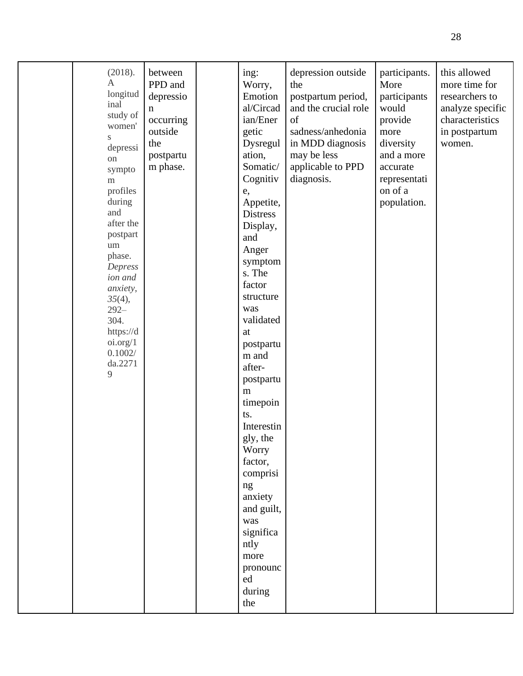| (2018).<br>$\mathbf{A}$<br>longitud<br>inal<br>study of<br>women'<br>S<br>depressi<br>on<br>sympto<br>${\rm m}$<br>profiles<br>during<br>and<br>after the<br>postpart<br>$\,$ um $\,$<br>phase.<br>Depress<br>ion and<br>anxiety,<br>35(4),<br>$292 -$<br>304.<br>https://d<br>oi.org/1<br>0.1002/<br>da.2271<br>9 | between<br>PPD and<br>depressio<br>n<br>occurring<br>outside<br>the<br>postpartu<br>m phase. | ing:<br>Worry,<br>Emotion<br>al/Circad<br>ian/Ener<br>getic<br>Dysregul<br>ation,<br>Somatic/<br>Cognitiv<br>e,<br>Appetite,<br><b>Distress</b><br>Display,<br>and<br>Anger<br>symptom<br>s. The<br>factor<br>structure<br>was<br>validated<br>at<br>postpartu<br>m and<br>after-<br>postpartu<br>m<br>timepoin<br>ts.<br>Interestin<br>gly, the<br>Worry<br>factor,<br>comprisi<br>ng<br>anxiety<br>and guilt,<br>was<br>significa<br>ntly<br>more<br>pronounc<br>ed<br>during<br>the | depression outside<br>the<br>postpartum period,<br>and the crucial role<br>of<br>sadness/anhedonia<br>in MDD diagnosis<br>may be less<br>applicable to PPD<br>diagnosis. | participants.<br>More<br>participants<br>would<br>provide<br>more<br>diversity<br>and a more<br>accurate<br>representati<br>on of a<br>population. | this allowed<br>more time for<br>researchers to<br>analyze specific<br>characteristics<br>in postpartum<br>women. |
|--------------------------------------------------------------------------------------------------------------------------------------------------------------------------------------------------------------------------------------------------------------------------------------------------------------------|----------------------------------------------------------------------------------------------|----------------------------------------------------------------------------------------------------------------------------------------------------------------------------------------------------------------------------------------------------------------------------------------------------------------------------------------------------------------------------------------------------------------------------------------------------------------------------------------|--------------------------------------------------------------------------------------------------------------------------------------------------------------------------|----------------------------------------------------------------------------------------------------------------------------------------------------|-------------------------------------------------------------------------------------------------------------------|